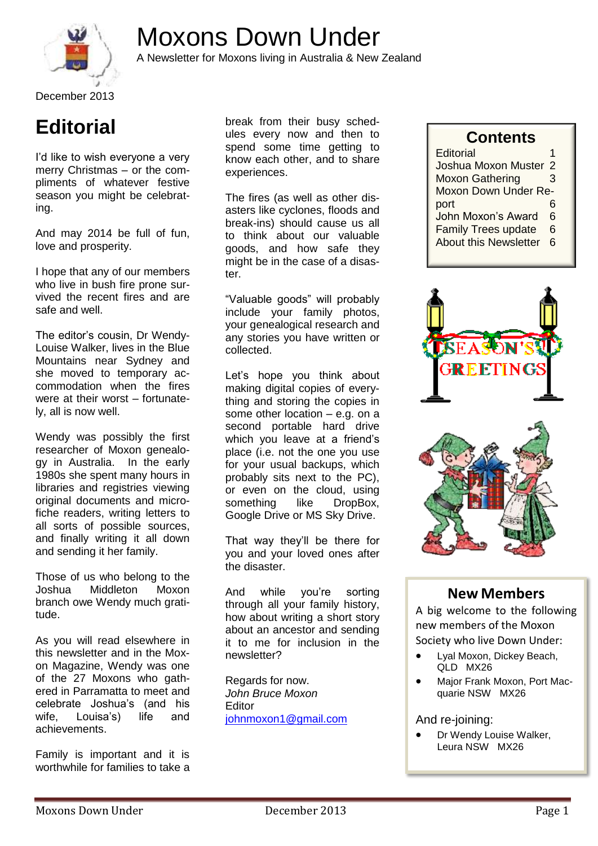



A Newsletter for Moxons living in Australia & New Zealand

**Editorial**

I'd like to wish everyone a very merry Christmas – or the compliments of whatever festive season you might be celebrating.

And may 2014 be full of fun, love and prosperity.

I hope that any of our members who live in bush fire prone survived the recent fires and are safe and well.

The editor's cousin, Dr Wendy-Louise Walker, lives in the Blue Mountains near Sydney and she moved to temporary accommodation when the fires were at their worst – fortunately, all is now well.

Wendy was possibly the first researcher of Moxon genealogy in Australia. In the early 1980s she spent many hours in libraries and registries viewing original documents and microfiche readers, writing letters to all sorts of possible sources, and finally writing it all down and sending it her family.

Those of us who belong to the Joshua Middleton Moxon branch owe Wendy much gratitude.

As you will read elsewhere in this newsletter and in the Moxon Magazine, Wendy was one of the 27 Moxons who gathered in Parramatta to meet and celebrate Joshua's (and his wife, Louisa's) life and achievements.

Family is important and it is worthwhile for families to take a break from their busy schedules every now and then to spend some time getting to know each other, and to share experiences.

The fires (as well as other disasters like cyclones, floods and break-ins) should cause us all to think about our valuable goods, and how safe they might be in the case of a disaster.

"Valuable goods" will probably include your family photos, your genealogical research and any stories you have written or collected.

Let's hope you think about making digital copies of everything and storing the copies in some other location – e.g. on a second portable hard drive which you leave at a friend's place (i.e. not the one you use for your usual backups, which probably sits next to the PC), or even on the cloud, using something like DropBox, Google Drive or MS Sky Drive.

That way they'll be there for you and your loved ones after the disaster.

And while you're sorting through all your family history, how about writing a short story about an ancestor and sending it to me for inclusion in the newsletter?

Regards for now. *John Bruce Moxon* Editor [johnmoxon1@gmail.com](mailto:johnmoxon1@gmail.com)

### **Contents**

| Editorial                    |   |
|------------------------------|---|
| Joshua Moxon Muster 2        |   |
| <b>Moxon Gathering</b>       | 3 |
| Moxon Down Under Re-         |   |
| port                         | 6 |
| John Moxon's Award           | 6 |
| <b>Family Trees update</b>   | 6 |
| <b>About this Newsletter</b> | հ |
|                              |   |





## **New Members**

A big welcome to the following new members of the Moxon Society who live Down Under:

- Lyal Moxon, Dickey Beach, QLD MX26
- Major Frank Moxon, Port Macquarie NSW MX26

And re-joining:

 Dr Wendy Louise Walker, Leura NSW MX26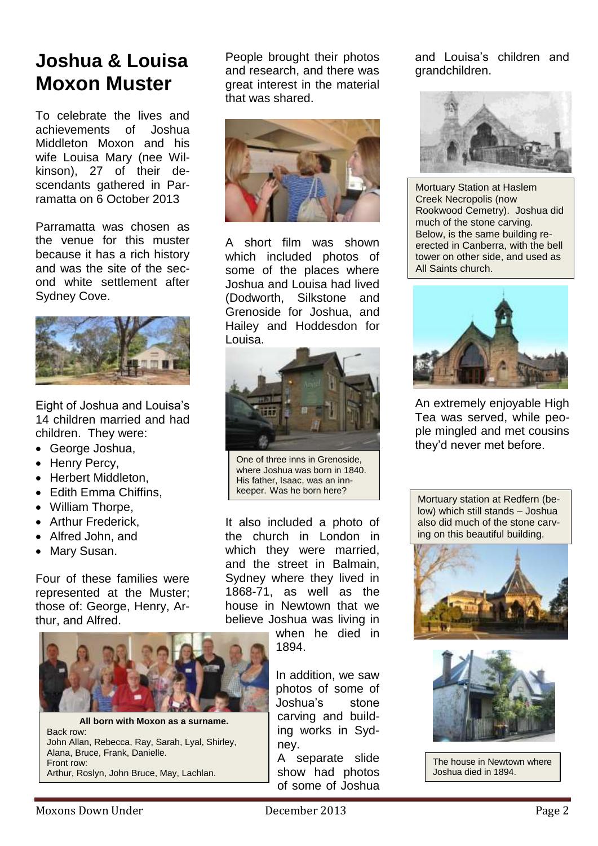# **Joshua & Louisa Moxon Muster**

To celebrate the lives and achievements of Joshua Middleton Moxon and his wife Louisa Mary (nee Wilkinson), 27 of their descendants gathered in Parramatta on 6 October 2013

Parramatta was chosen as the venue for this muster because it has a rich history and was the site of the second white settlement after Sydney Cove.



Eight of Joshua and Louisa's 14 children married and had children. They were:

- George Joshua,
- Henry Percy,
- Herbert Middleton,
- Edith Emma Chiffins,
- William Thorpe,
- Arthur Frederick.
- Alfred John, and
- Mary Susan.

Four of these families were represented at the Muster; those of: George, Henry, Arthur, and Alfred.



**All born with Moxon as a surname.** Back row: John Allan, Rebecca, Ray, Sarah, Lyal, Shirley, Alana, Bruce, Frank, Danielle. Front row: Arthur, Roslyn, John Bruce, May, Lachlan.

People brought their photos and research, and there was great interest in the material that was shared.



A short film was shown which included photos of some of the places where Joshua and Louisa had lived (Dodworth, Silkstone and Grenoside for Joshua, and Hailey and Hoddesdon for Louisa.



One of three inns in Grenoside, where Joshua was born in 1840. His father, Isaac, was an innkeeper. Was he born here?

It also included a photo of the church in London in which they were married, and the street in Balmain, Sydney where they lived in 1868-71, as well as the house in Newtown that we believe Joshua was living in

> when he died in 1894.

In addition, we saw photos of some of Joshua's stone carving and building works in Sydney.

A separate slide show had photos of some of Joshua and Louisa's children and grandchildren.



Mortuary Station at Haslem Creek Necropolis (now Rookwood Cemetry). Joshua did much of the stone carving. Below, is the same building reerected in Canberra, with the bell tower on other side, and used as All Saints church.



An extremely enjoyable High Tea was served, while people mingled and met cousins they'd never met before.

Mortuary station at Redfern (below) which still stands – Joshua also did much of the stone carving on this beautiful building.





The house in Newtown where Joshua died in 1894.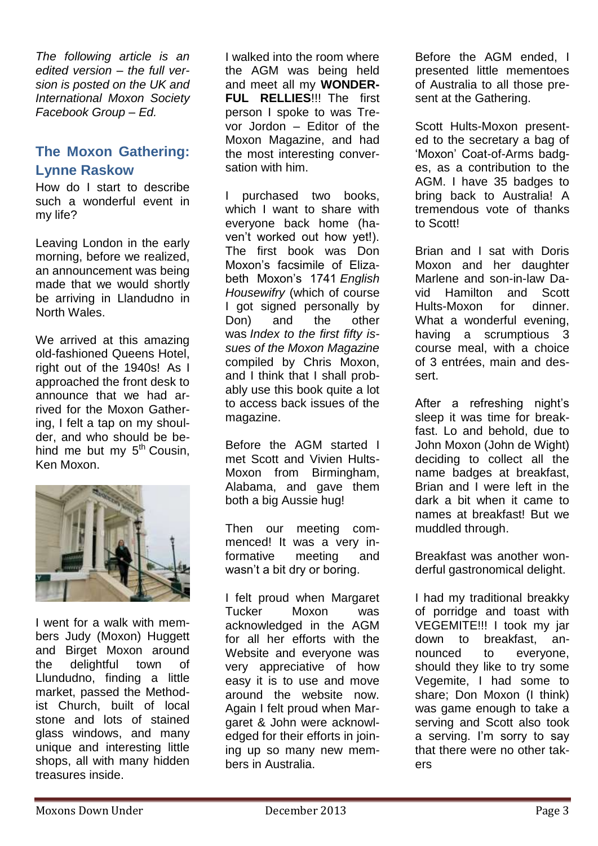*The following article is an edited version – the full version is posted on the UK and International Moxon Society Facebook Group – Ed.*

### **The Moxon Gathering: Lynne Raskow**

How do I start to describe such a wonderful event in my life?

Leaving London in the early morning, before we realized, an announcement was being made that we would shortly be arriving in Llandudno in North Wales.

We arrived at this amazing old-fashioned Queens Hotel, right out of the 1940s! As I approached the front desk to announce that we had arrived for the Moxon Gathering, I felt a tap on my shoulder, and who should be behind me but my  $5<sup>th</sup>$  Cousin, Ken Moxon.



I went for a walk with members Judy (Moxon) Huggett and Birget Moxon around the delightful town of Llundudno, finding a little market, passed the Methodist Church, built of local stone and lots of stained glass windows, and many unique and interesting little shops, all with many hidden treasures inside.

I walked into the room where the AGM was being held and meet all my **WONDER-FUL RELLIES**!!! The first person I spoke to was Trevor Jordon – Editor of the Moxon Magazine, and had the most interesting conversation with him.

I purchased two books, which I want to share with everyone back home (haven't worked out how yet!). The first book was Don Moxon's facsimile of Elizabeth Moxon's 1741 *English Housewifry* (which of course I got signed personally by Don) and the other was *Index to the first fifty issues of the Moxon Magazine* compiled by Chris Moxon, and I think that I shall probably use this book quite a lot to access back issues of the magazine.

Before the AGM started I met Scott and Vivien Hults-Moxon from Birmingham, Alabama, and gave them both a big Aussie hug!

Then our meeting commenced! It was a very informative meeting and wasn't a bit dry or boring.

I felt proud when Margaret Tucker Moxon was acknowledged in the AGM for all her efforts with the Website and everyone was very appreciative of how easy it is to use and move around the website now. Again I felt proud when Margaret & John were acknowledged for their efforts in joining up so many new members in Australia.

Before the AGM ended, I presented little mementoes of Australia to all those present at the Gathering.

Scott Hults-Moxon presented to the secretary a bag of 'Moxon' Coat-of-Arms badges, as a contribution to the AGM. I have 35 badges to bring back to Australia! A tremendous vote of thanks to Scott!

Brian and I sat with Doris Moxon and her daughter Marlene and son-in-law David Hamilton and Scott Hults-Moxon for dinner. What a wonderful evening, having a scrumptious 3 course meal, with a choice of 3 entrées, main and dessert.

After a refreshing night's sleep it was time for breakfast. Lo and behold, due to John Moxon (John de Wight) deciding to collect all the name badges at breakfast, Brian and I were left in the dark a bit when it came to names at breakfast! But we muddled through.

Breakfast was another wonderful gastronomical delight.

I had my traditional breakky of porridge and toast with VEGEMITE!!! I took my jar down to breakfast, announced to everyone, should they like to try some Vegemite, I had some to share; Don Moxon (I think) was game enough to take a serving and Scott also took a serving. I'm sorry to say that there were no other takers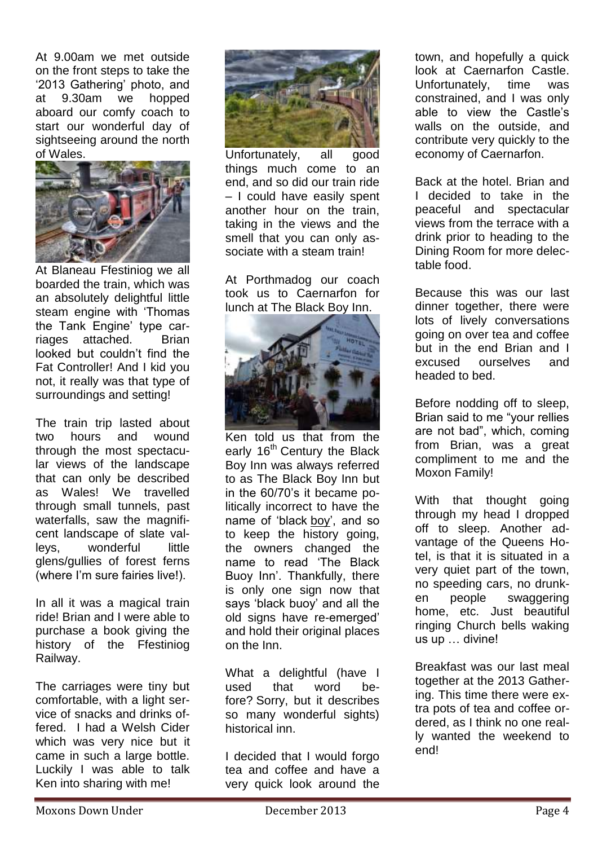At 9.00am we met outside on the front steps to take the '2013 Gathering' photo, and at 9.30am we hopped aboard our comfy coach to start our wonderful day of sightseeing around the north of Wales.



At Blaneau Ffestiniog we all boarded the train, which was an absolutely delightful little steam engine with 'Thomas the Tank Engine' type carriages attached. Brian looked but couldn't find the Fat Controller! And I kid you not, it really was that type of surroundings and setting!

The train trip lasted about two hours and wound through the most spectacular views of the landscape that can only be described as Wales! We travelled through small tunnels, past waterfalls, saw the magnificent landscape of slate valleys, wonderful little glens/gullies of forest ferns (where I'm sure fairies live!).

In all it was a magical train ride! Brian and I were able to purchase a book giving the history of the Ffestiniog Railway.

The carriages were tiny but comfortable, with a light service of snacks and drinks offered. I had a Welsh Cider which was very nice but it came in such a large bottle. Luckily I was able to talk Ken into sharing with me!



Unfortunately, all good things much come to an end, and so did our train ride – I could have easily spent another hour on the train, taking in the views and the smell that you can only associate with a steam train!

At Porthmadog our coach took us to Caernarfon for lunch at The Black Boy Inn.



Ken told us that from the early 16<sup>th</sup> Century the Black Boy Inn was always referred to as The Black Boy Inn but in the 60/70's it became politically incorrect to have the name of 'black boy', and so to keep the history going, the owners changed the name to read 'The Black Buoy Inn'. Thankfully, there is only one sign now that says 'black buoy' and all the old signs have re-emerged' and hold their original places on the Inn.

What a delightful (have I used that word before? Sorry, but it describes so many wonderful sights) historical inn.

I decided that I would forgo tea and coffee and have a very quick look around the

town, and hopefully a quick look at Caernarfon Castle. Unfortunately, time was constrained, and I was only able to view the Castle's walls on the outside, and contribute very quickly to the economy of Caernarfon.

Back at the hotel. Brian and I decided to take in the peaceful and spectacular views from the terrace with a drink prior to heading to the Dining Room for more delectable food.

Because this was our last dinner together, there were lots of lively conversations going on over tea and coffee but in the end Brian and I excused ourselves and headed to bed.

Before nodding off to sleep, Brian said to me "your rellies are not bad", which, coming from Brian, was a great compliment to me and the Moxon Family!

With that thought going through my head I dropped off to sleep. Another advantage of the Queens Hotel, is that it is situated in a very quiet part of the town, no speeding cars, no drunken people swaggering home, etc. Just beautiful ringing Church bells waking us up … divine!

Breakfast was our last meal together at the 2013 Gathering. This time there were extra pots of tea and coffee ordered, as I think no one really wanted the weekend to end!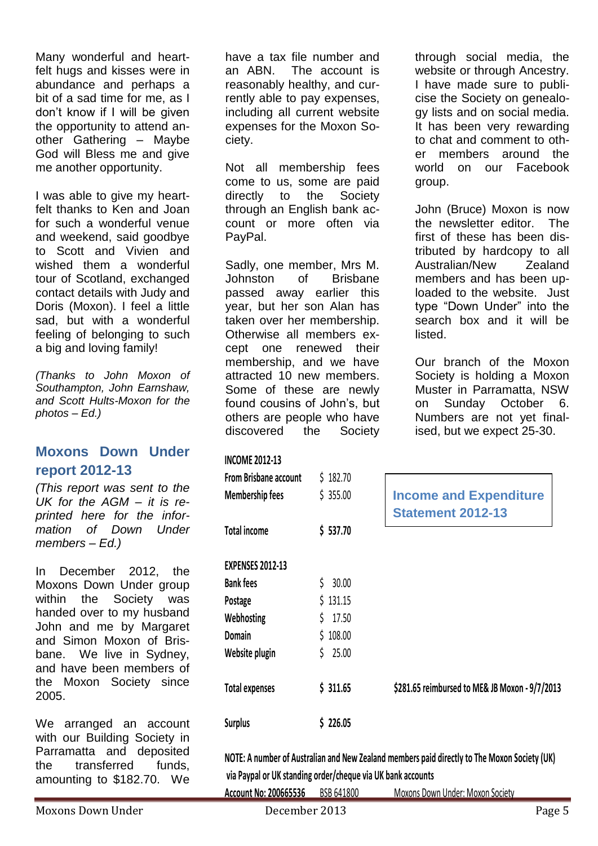Many wonderful and heartfelt hugs and kisses were in abundance and perhaps a bit of a sad time for me, as I don't know if I will be given the opportunity to attend another Gathering – Maybe God will Bless me and give me another opportunity.

I was able to give my heartfelt thanks to Ken and Joan for such a wonderful venue and weekend, said goodbye to Scott and Vivien and wished them a wonderful tour of Scotland, exchanged contact details with Judy and Doris (Moxon). I feel a little sad, but with a wonderful feeling of belonging to such a big and loving family!

*(Thanks to John Moxon of Southampton, John Earnshaw, and Scott Hults-Moxon for the photos – Ed.)*

#### **Moxons Down Under report 2012-13**

*(This report was sent to the UK for the AGM – it is reprinted here for the information of Down Under members – Ed.)*

In December 2012, the Moxons Down Under group within the Society was handed over to my husband John and me by Margaret and Simon Moxon of Brisbane. We live in Sydney, and have been members of the Moxon Society since 2005.

We arranged an account with our Building Society in Parramatta and deposited the transferred funds, amounting to \$182.70. We

have a tax file number and an ABN. The account is reasonably healthy, and currently able to pay expenses, including all current website expenses for the Moxon Society.

Not all membership fees come to us, some are paid directly to the Society through an English bank account or more often via PayPal.

Sadly, one member, Mrs M. Johnston of Brisbane passed away earlier this year, but her son Alan has taken over her membership. Otherwise all members except one renewed their membership, and we have attracted 10 new members. Some of these are newly found cousins of John's, but others are people who have discovered the Society

#### **INCOME 2012-13**

| <b>From Brisbane account</b> | \$182.70   |
|------------------------------|------------|
| <b>Membership fees</b>       | \$355.00   |
|                              |            |
| <b>Total income</b>          | \$537.70   |
|                              |            |
| <b>EXPENSES 2012-13</b>      |            |
| <b>Bank fees</b>             | \$30.00    |
| Postage                      | \$131.15   |
| Webhosting                   | \$17.50    |
| Domain                       | \$108.00   |
| Website plugin               | Ś<br>25.00 |
|                              |            |
| <b>Total expenses</b>        | \$311.65   |
|                              |            |
| <b>Surplus</b>               | \$226.05   |

through social media, the website or through Ancestry. I have made sure to publicise the Society on genealogy lists and on social media. It has been very rewarding to chat and comment to other members around the world on our Facebook group.

John (Bruce) Moxon is now the newsletter editor. The first of these has been distributed by hardcopy to all Australian/New Zealand members and has been uploaded to the website. Just type "Down Under" into the search box and it will be listed.

Our branch of the Moxon Society is holding a Moxon Muster in Parramatta, NSW on Sunday October 6. Numbers are not yet finalised, but we expect 25-30.

| <b>From Brisbane account</b> | \$182.70    |                                                |
|------------------------------|-------------|------------------------------------------------|
| Membership fees              | \$355.00    | <b>Income and Expenditure</b>                  |
|                              |             | <b>Statement 2012-13</b>                       |
| <b>Total income</b>          | \$537.70    |                                                |
| <b>EXPENSES 2012-13</b>      |             |                                                |
| <b>Bank fees</b>             | 30.00       |                                                |
| Postage                      | \$131.15    |                                                |
| Webhosting                   | 17.50<br>Ś. |                                                |
| Domain                       | \$108.00    |                                                |
| Website plugin               | 25.00       |                                                |
| <b>Total expenses</b>        | \$311.65    | \$281.65 reimbursed to ME& JB Moxon - 9/7/2013 |
| <b>Surplus</b>               | \$226.05    |                                                |
|                              |             |                                                |

**NOTE: A number of Australian and New Zealand members paid directly to The Moxon Society (UK) via Paypal or UK standing order/cheque via UK bank accounts**

**Account No: 200665536** BSB 641800 Moxons Down Under: Moxon Society